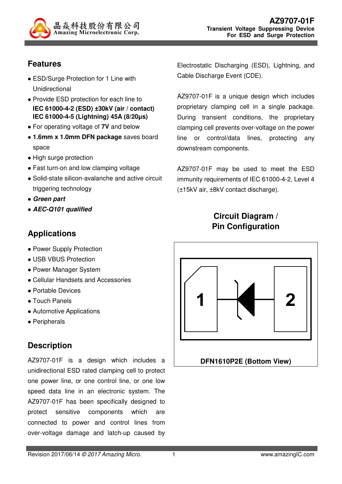

## **Features**

- ESD/Surge Protection for 1 Line with Unidirectional
- Provide ESD protection for each line to **IEC 61000-4-2 (ESD) ±30kV (air / contact) IEC 61000-4-5 (Lightning) 45A (8/20µs)**
- For operating voltage of **7V** and below
- **1.6mm x 1.0mm DFN package** saves board space
- High surge protection
- Fast turn-on and low clamping voltage
- Solid-state silicon-avalanche and active circuit triggering technology
- **Green part**
- **AEC-Q101 qualified**

## **Applications**

- Power Supply Protection
- USB VBUS Protection
- Power Manager System
- Cellular Handsets and Accessories
- Portable Devices
- Touch Panels
- Automotive Applications
- Peripherals

## **Description**

AZ9707-01F is a design which includes a unidirectional ESD rated clamping cell to protect one power line, or one control line, or one low speed data line in an electronic system. The AZ9707-01F has been specifically designed to protect sensitive components which are connected to power and control lines from over-voltage damage and latch-up caused by

Electrostatic Discharging (ESD), Lightning, and Cable Discharge Event (CDE).

AZ9707-01F is a unique design which includes proprietary clamping cell in a single package. During transient conditions, the proprietary clamping cell prevents over-voltage on the power line or control/data lines, protecting any downstream components.

AZ9707-01F may be used to meet the ESD immunity requirements of IEC 61000-4-2, Level 4 (±15kV air, ±8kV contact discharge).

#### **Circuit Diagram / Pin Configuration**

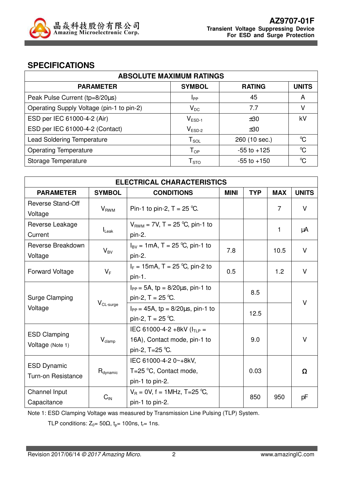

#### **SPECIFICATIONS**

| <b>ABSOLUTE MAXIMUM RATINGS</b>           |                            |                 |                      |  |
|-------------------------------------------|----------------------------|-----------------|----------------------|--|
| <b>PARAMETER</b>                          | <b>SYMBOL</b>              | <b>RATING</b>   | <b>UNITS</b>         |  |
| Peak Pulse Current (tp=8/20µs)            | Ipp                        | 45              | A                    |  |
| Operating Supply Voltage (pin-1 to pin-2) | $V_{DC}$                   | 7.7             |                      |  |
| ESD per IEC 61000-4-2 (Air)               | $V_{ESD-1}$                | ±30             | kV                   |  |
| ESD per IEC 61000-4-2 (Contact)           | $V_{ESD-2}$                | ±30             |                      |  |
| <b>Lead Soldering Temperature</b>         | $T_{\texttt{SOL}}$         | 260 (10 sec.)   | $\rm ^{o}C$          |  |
| <b>Operating Temperature</b>              | $T_{OP}$                   | $-55$ to $+125$ | $\mathrm{C}^{\circ}$ |  |
| Storage Temperature                       | ${\mathsf T}_{\text{STO}}$ | $-55$ to $+150$ | °C                   |  |

| <b>ELECTRICAL CHARACTERISTICS</b> |                      |                                                                   |             |            |            |              |
|-----------------------------------|----------------------|-------------------------------------------------------------------|-------------|------------|------------|--------------|
| <b>PARAMETER</b>                  | <b>SYMBOL</b>        | <b>CONDITIONS</b>                                                 | <b>MINI</b> | <b>TYP</b> | <b>MAX</b> | <b>UNITS</b> |
| <b>Reverse Stand-Off</b>          | $V_{RWM}$            | Pin-1 to pin-2, $T = 25$ °C.                                      |             |            | 7          | $\vee$       |
| Voltage                           |                      |                                                                   |             |            |            |              |
| Reverse Leakage                   |                      | $V_{RWM}$ = 7V, T = 25 °C, pin-1 to                               |             |            | 1          | μA           |
| Current                           | $I_{\text{Leak}}$    | pin-2.                                                            |             |            |            |              |
| Reverse Breakdown                 | $V_{BV}$             | $I_{\text{BV}} = 1 \text{mA}, T = 25 \text{ °C}, \text{pin-1 to}$ | 7.8         |            | 10.5       | $\vee$       |
| Voltage                           |                      | pin-2.                                                            |             |            |            |              |
| <b>Forward Voltage</b>            | $V_F$                | $I_F = 15 \text{mA}$ , T = 25 °C, pin-2 to                        | 0.5         |            | 1.2        | $\vee$       |
|                                   |                      | pin-1.                                                            |             |            |            |              |
|                                   |                      | $I_{PP} = 5A$ , tp = 8/20 $\mu$ s, pin-1 to                       |             | 8.5        |            | $\vee$       |
| <b>Surge Clamping</b>             | $V_{CL-surge}$       | pin-2, $T = 25$ °C.                                               |             |            |            |              |
| Voltage                           |                      | $I_{PP} = 45A$ , tp = 8/20 $\mu$ s, pin-1 to                      | 12.5        |            |            |              |
|                                   |                      | pin-2, $T = 25$ °C.                                               |             |            |            |              |
| <b>ESD Clamping</b>               |                      | IEC 61000-4-2 +8kV ( $I_{TLP}$ =                                  |             |            |            |              |
|                                   | $V_{\text{clamp}}$   | 16A), Contact mode, pin-1 to                                      | 9.0         |            |            | $\vee$       |
| Voltage (Note 1)                  |                      | pin-2, $T = 25$ °C.                                               |             |            |            |              |
| <b>ESD Dynamic</b>                |                      | IEC 61000-4-2 0~+8kV,                                             |             |            |            |              |
| <b>Turn-on Resistance</b>         | $R_{\text{dynamic}}$ | $T=25$ °C, Contact mode,                                          |             | 0.03       |            | Ω            |
|                                   |                      | pin-1 to pin-2.                                                   |             |            |            |              |
| Channel Input                     |                      | $V_B = 0V$ , f = 1MHz, T=25 °C,                                   |             |            |            |              |
| Capacitance                       | $C_{\text{IN}}$      | pin-1 to pin-2.                                                   |             | 850        | 950        | pF           |

Note 1: ESD Clamping Voltage was measured by Transmission Line Pulsing (TLP) System.

TLP conditions:  $Z_0 = 50\Omega$ ,  $t_p = 100$ ns,  $t_r = 1$ ns.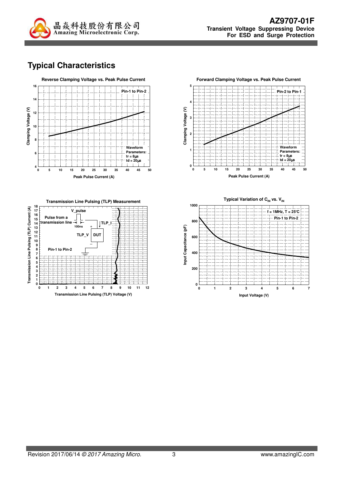

# **Typical Characteristics**







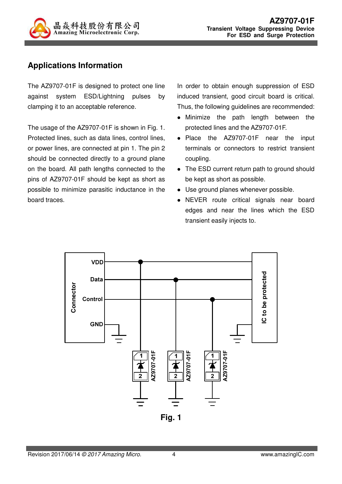

## **Applications Information**

The AZ9707-01F is designed to protect one line against system ESD/Lightning pulses by clamping it to an acceptable reference.

The usage of the AZ9707-01F is shown in Fig. 1. Protected lines, such as data lines, control lines, or power lines, are connected at pin 1. The pin 2 should be connected directly to a ground plane on the board. All path lengths connected to the pins of AZ9707-01F should be kept as short as possible to minimize parasitic inductance in the board traces.

In order to obtain enough suppression of ESD induced transient, good circuit board is critical. Thus, the following guidelines are recommended:

- Minimize the path length between the protected lines and the AZ9707-01F.
- Place the AZ9707-01F near the input terminals or connectors to restrict transient coupling.
- The ESD current return path to ground should be kept as short as possible.
- Use ground planes whenever possible.
- NEVER route critical signals near board edges and near the lines which the ESD transient easily injects to.

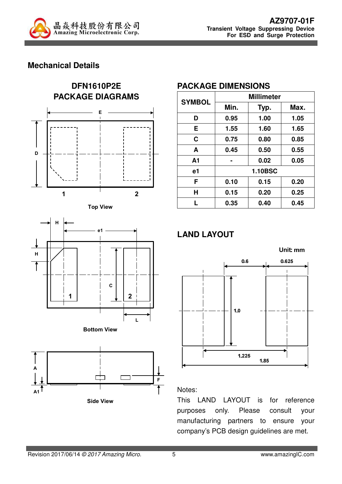

#### **Mechanical Details**











#### **PACKAGE DIMENSIONS**

| <b>SYMBOL</b>  | <b>Millimeter</b> |      |      |  |
|----------------|-------------------|------|------|--|
|                | Min.              | Typ. | Max. |  |
| D              | 0.95              | 1.00 | 1.05 |  |
| E.             | 1.55              | 1.60 | 1.65 |  |
| C              | 0.75              | 0.80 | 0.85 |  |
| A              | 0.45              | 0.50 | 0.55 |  |
| A <sub>1</sub> |                   | 0.02 | 0.05 |  |
| e1             | <b>1.10BSC</b>    |      |      |  |
| F              | 0.10              | 0.15 | 0.20 |  |
| Н              | 0.15              | 0.20 | 0.25 |  |
| L              | 0.35              | 0.40 | 0.45 |  |

# **LAND LAYOUT**



#### Notes:

This LAND LAYOUT is for reference purposes only. Please consult your manufacturing partners to ensure your company's PCB design guidelines are met.